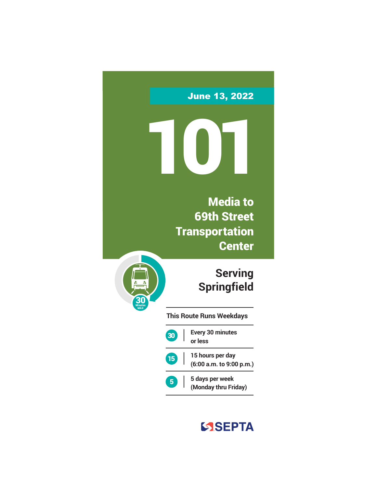June 13, 2022

101

Media to 69th Street **Transportation Center** 

> **Serving Springfield**

**This Route Runs Weekdays**

Minutes MAX 30



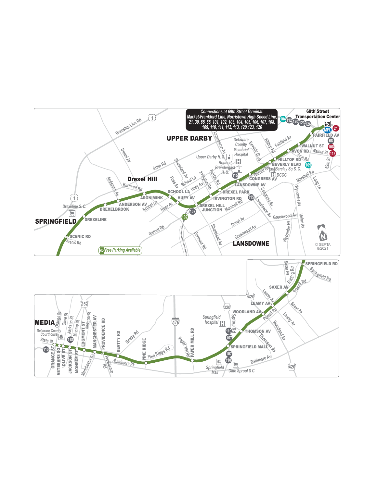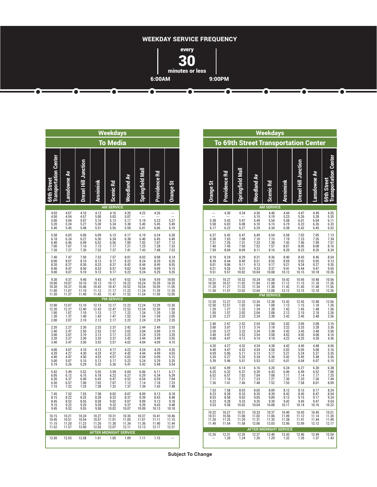

**Transportation Center**

| Weekdays                                           |                                              |                                              |                                                          |                                                  |                                               |                                               |                                               |                                              | <b>Weekdays</b><br><b>To 69th Street Transportation Center</b>          |                                             |                                                                     |                                                                 |                                                                     |                                       |                                             |                                                                     |                                              |
|----------------------------------------------------|----------------------------------------------|----------------------------------------------|----------------------------------------------------------|--------------------------------------------------|-----------------------------------------------|-----------------------------------------------|-----------------------------------------------|----------------------------------------------|-------------------------------------------------------------------------|---------------------------------------------|---------------------------------------------------------------------|-----------------------------------------------------------------|---------------------------------------------------------------------|---------------------------------------|---------------------------------------------|---------------------------------------------------------------------|----------------------------------------------|
|                                                    |                                              |                                              |                                                          | <b>To Media</b>                                  |                                               |                                               |                                               |                                              |                                                                         |                                             |                                                                     |                                                                 |                                                                     |                                       |                                             |                                                                     |                                              |
| <b>Transportation Center</b><br><b>69th Street</b> | Lansdowne Av                                 | <b>Drexel Hill Junction</b>                  | Aronimink                                                | Scenic Rd                                        | Woodland Av                                   | Springfield Mall                              | 盈<br>Providence                               | <b>Orange St</b>                             | <b>Orange St</b>                                                        | Providence Rd                               | Springfield Mall                                                    | Woodland Av                                                     | Scenic Rd                                                           | Aronimink                             | <b>Drexel Hill Junction</b>                 | <b>Lansdowne Av</b>                                                 | Center<br><b>69th Street</b><br>Transportati |
|                                                    | 4.07                                         |                                              |                                                          | <b>AM SERVICE</b>                                |                                               |                                               |                                               |                                              |                                                                         |                                             |                                                                     | <b>AM</b>                                                       | <b>SERVICE</b>                                                      |                                       | 4.47                                        | 4.49                                                                |                                              |
| 4.03<br>4.50<br>5.00<br>5.20<br>5.40               | 4.54<br>5.04<br>5.24<br>5.45                 | 4.10<br>4.57<br>5.07<br>5.27<br>5.48         | 4.13<br>5.00<br>5.10<br>5.30<br>5.51                     | 4.16<br>5.03<br>5.13<br>5.34<br>5.55             | 4.20<br>5.07<br>5.17<br>5.38<br>5.59          | 4.22<br>$\cdots$<br>5.19<br>5.40<br>6.01      | 4.26<br>5.23<br>5.45<br>6.06                  | $\overline{a}$<br>5.27<br>5.49<br>6.10       | $\ddot{\phantom{a}}$<br>5.38<br>5.58<br>6.17                            | 4.30<br>5.43<br>6.03<br>6.22                | 4.34<br>---<br>5.47<br>6.08<br>6.27                                 | 4.36<br>5.15<br>5.49<br>6.10<br>6.29                            | 4.40<br>5.19<br>5.54<br>6.15<br>6.34                                | 4.44<br>5.23<br>5.58<br>6.19<br>6.38  | 5.26<br>6.01<br>6.23<br>6.42                | 5.28<br>6.04<br>6.26<br>6.45                                        | 4.55<br>5.35<br>6.11<br>$6.33$<br>$6.52$     |
| 5.58<br>6.18<br>6.40<br>7.00<br>7.20               | 6.03<br>6.24<br>6.46<br>7.07<br>7.27         | 6.06<br>6.27<br>6.49<br>7.10<br>7.30         | 6.09<br>6.30<br>6.52<br>7.13<br>7.33                     | 6.13<br>6.34<br>6.56<br>7.17<br>7.37             | 6.17<br>$6.38$<br>$7.00$<br>7.21<br>7.41      | 6.19<br>$6.40$<br>$7.02$<br>7.23<br>7.43      | 6.24<br>6.45<br>7.07<br>7.28<br>7.48          | 6.28<br>6.49<br>7.12<br>7.33<br>7.53         | 6.37<br>6.58<br>7.21<br>7.40<br>7.59                                    | 6.42<br>$7.03$<br>$7.26$<br>7.45<br>8.04    | 6.47<br>7.08<br>7.31<br>7.50<br>8.09                                | 6.49<br>7.10<br>7.33<br>7.52<br>8.11                            | 6.54<br>7.15<br>7.38<br>7.57<br>8.16                                | 6.58<br>7.19<br>7.42<br>8.01<br>8.20  | 7.02<br>7.23<br>7.46<br>8.05<br>8.23        | 7.05<br>7.26<br>7.49<br>8.08<br>8.26                                | 7.13<br>7.34<br>7.57<br>8.16<br>8.34         |
| 7.40<br>8.00<br>8.20<br>8.40<br>9.00               | 7.47<br>8.07<br>8.27<br>8.47<br>9.07         | 7.50<br>8.10<br>8.30<br>8.50<br>9.10         | 7.53<br>8.13<br>8.33<br>8.53<br>9.13                     | 7.57<br>8.17<br>8.37<br>8.57<br>9.17             | 8.01<br>8.22<br>8.42<br>9.02<br>9.22          | 8.03<br>8.24<br>8.44<br>9.04<br>9.24          | 8.08<br>8.29<br>8.49<br>9.09<br>9.29          | 8.14<br>8.35<br>8.55<br>9.15<br>9.35         | 8.19<br>8.39<br>9.01<br>9.21<br>9.51                                    | 8.24<br>8.44<br>9.06<br>9.26<br>9.57        | 8.29<br>8.49<br>9.11<br>9.31<br>10.02                               | 8.31<br>8.51<br>9.13<br>9.33<br>10.04                           | 8.36<br>8.55<br>9.17<br>9.37<br>10.08                               | 8.40<br>8.59<br>9.21<br>9.41<br>10.12 | 8.43<br>9.02<br>9.24<br>9.44<br>10.15       | 8.46<br>9.05<br>9.27<br>9.47<br>10.18                               | 8.54<br>9.13<br>9.35<br>$9.55$<br>10.26      |
| 9.30<br>10.00<br>10.30<br>11.00<br>11.30           | 9.37<br>10.07<br>10.37<br>11.07<br>11.37     | 9.40<br>10.10<br>10.40<br>11.10<br>11.40     | 9.43<br>10.13<br>10.43<br>11.13<br>11.43                 | 9.47<br>10.17<br>10.47<br>11.17<br>11.47         | 9.52<br>10.22<br>10.52<br>11.22<br>11.52      | 9.54<br>10.24<br>10.54<br>11.24<br>11.54      | 9.59<br>10.29<br>10.59<br>11.29<br>11.59      | 10.05<br>10.35<br>11.05<br>11.35<br>12.05    | 10.21<br>10.50<br>11.20<br>11.50                                        | 10.27<br>10.57<br>11.27<br>11.57            | 10.32<br>11.02<br>11.32<br>12.02                                    | 10.34<br>11.04<br>11.34<br>12.04                                | 10.38<br>11.08<br>11.38<br>12.08<br><b>PM SERVICE</b>               | 10.42<br>11.12<br>11.42<br>12.12      | 10.45<br>11.15<br>11.45<br>12.15            | 10.48<br>11.18<br>11.48<br>12.18                                    | 10.56<br>11.26                               |
|                                                    |                                              |                                              |                                                          | <b>PM SERVICE</b>                                |                                               |                                               |                                               |                                              | 12.20                                                                   | 12.27                                       | 12.32                                                               | 12.34                                                           | 12.38                                                               | 12.42                                 | 12.45                                       | 12.48                                                               | 12.56                                        |
| 12.00<br>12.30<br>1.00<br>1.30<br>2.00             | 12.07<br>12.37<br>1.07<br>1.37<br>2.07       | 12.10<br>12.40<br>1.10<br>1.40<br>2.10       | 12.13<br>12.43<br>1.13<br>1.43<br>2.13                   | 12.17<br>12.47<br>1.17<br>1.47<br>2.17           | 12.22<br>$\frac{12.52}{1.22}$<br>1.52<br>2.22 | 12.24<br>$\frac{12.54}{1.24}$<br>1.54<br>2.24 | 12.29<br>$\frac{12.59}{1.29}$<br>1.59<br>2.29 | 12.35<br>1.05<br>1.35<br>2.05<br>2.35        | 12.50<br>1.20<br>1.50<br>2.20                                           | 12.57<br>1.27<br>1.57<br>2.27               | 1.02<br>1.32<br>2.02<br>2.32                                        | 1.04<br>1.34<br>2.04<br>2.34                                    | 1.08<br>1.38<br>2.08<br>2.38                                        | 1.12<br>1.42<br>2.12<br>2.42          | 1.15<br>1.45<br>2.15<br>2.45                | 1.18<br>1.48<br>2.18<br>2.48                                        | 1.26<br>$7.56$<br>$2.26$<br>$2.56$           |
| 2.20<br>2.40<br>3.00<br>3.20<br>3.40               | 2.27<br>2.47<br>3.07<br>3.27<br>3.47         | 2.30<br>2.50<br>3.10<br>3.30<br>3.50         | ${\underset{2.53}{2.33}}$<br>3.13<br>$\frac{3.33}{3.53}$ | 2.37<br>$\frac{2.57}{3.17}$<br>3.37<br>3.57      | 2.42<br>$\frac{3.02}{3.22}$<br>3.42<br>4.02   | 2.44<br>$\frac{3.04}{3.24}$<br>3.44<br>4.04   | 2.49<br>3.09<br>3.29<br>3.49<br>4.09          | 2.55<br>3.15<br>3.35<br>3.55<br>4.15         | 2.40<br>3.00<br>3.20<br>3.40<br>4.00                                    | 2.47<br>3.07<br>3.27<br>3.47<br>4.07        | $\frac{2.52}{3.12}$<br>$3.32$<br>$3.52$<br>4.12                     | $2.54$<br>$3.14$<br>3.34<br>3.54<br>4.14                        | $\begin{array}{c} 2.58 \\ 3.18 \end{array}$<br>3.38<br>3.58<br>4.18 | 3.02<br>3.22<br>3.42<br>4.02<br>4.22  | $\frac{3.05}{3.25}$<br>3.45<br>4.05<br>4.25 | 3.08<br>3.28<br>3.48<br>4.08<br>4.28                                | 3.16<br>3.36<br>$3.56$<br>$4.16$<br>4.36     |
| 4.00<br>4.20<br>4.40<br>5.00<br>5.19               | 4.07<br>4.27<br>4.47<br>5.07                 | 4.10<br>4.30<br>4.50<br>5.10                 | 4.13<br>4.33<br>4.53<br>5.13                             | 4.17<br>$4.37$<br>$4.57$<br>5.17                 | 4.22<br>4.42<br>5.02<br>5.22                  | 4.24<br>4.44<br>5.04<br>5.24<br>5.43          | 4.29<br>4.49<br>5.09<br>5.29                  | 4.35<br>4.55<br>5.15<br>5.35                 | $\begin{array}{c} 4.20 \\ 4.40 \end{array}$<br>$4.59$<br>$5.20$<br>5.39 | 4.27<br>4.47<br>$\frac{5.06}{5.27}$<br>5.46 | $\begin{array}{c} 4.32 \\ 4.52 \end{array}$<br>5.11<br>5.32<br>5.51 | 4.34<br>4.54<br>5.13<br>5.34<br>5.53                            | 4.38<br>4.58<br>5.17<br>5.38<br>5.57                                | 4.42<br>5.02<br>5.21<br>5.42<br>6.01  | 4.45<br>5.05<br>5.24<br>5.45<br>6.04        | 4.48<br>5.08<br>5.27<br>5.48<br>6.07                                | 4.56<br>5.16<br>5.35<br>$\frac{5.56}{6.15}$  |
| 5.42<br>6.05<br>6.30<br>$6.50$<br>$7.15$           | 5.26<br>5.49<br>6.12<br>6.37<br>6.57<br>7.22 | 5.29<br>5.52<br>6.15<br>6.40<br>7.00<br>7.25 | 5.32<br>5.55<br>6.18<br>6.43<br>7.03<br>7.28             | 5.36<br>5.59<br>6.22<br>6.47<br>7.07<br>7.32     | 5.41<br>6.04<br>6.27<br>6.52<br>7.12<br>7.37  | 6.06<br>$6.29$<br>$6.54$<br>7.14<br>7.39      | 5.48<br>6.11<br>6.34<br>6.59<br>7.18<br>7.43  | 5.54<br>6.17<br>6.39<br>7.04<br>7.23<br>7.48 | $6.02$<br>$6.25$<br>$6.52$<br>7.11<br>7.36                              | $6.09$<br>$6.32$<br>6.57<br>7.16<br>7.41    | $6.14$<br>$6.37$<br>7.02<br>7.21<br>7.46                            | $6.16$<br>$6.39$<br>7.04<br>7.23<br>7.48                        | $6.20$<br>$6.43$<br>7.08<br>7.27<br>7.52                            | 6.24<br>6.46<br>7.11<br>7.30<br>7.55  | $6.27$<br>$6.49$<br>7.14<br>7.33<br>7.58    | $\begin{array}{c} 6.30 \\ 6.52 \end{array}$<br>7.17<br>7.36<br>8.01 | 6.38<br>7.00<br>$7.25$<br>$7.44$<br>8.09     |
| 7.45<br>8.15<br>8.45<br>9.15                       | 7.52<br>8.22<br>8.52<br>9.22                 | 7.55<br>8.25<br>8.55<br>$\frac{9.25}{9.55}$  | 7.58<br>8.28<br>8.58<br>9.28                             | 8.02<br>8.32<br>9.02<br>9.32                     | 8.07<br>8.37<br>9.07<br>$9.37$<br>10.07       | 8.09<br>8.39<br>9.09<br>9.39<br>10.09         | 8.13<br>8.43<br>9.13<br>9.43<br>10.13         | 8.18<br>8.48<br>9.18<br>9.48                 | $7.53$<br>$8.23$<br>$8.53$<br>9.23<br>9.53                              | 7.58<br>8.28<br>8.58<br>9.28<br>9.58        | 8.03<br>8.33<br>9.03<br>9.33<br>10.02                               | 8.05<br>8.35<br>9.05<br>9.35<br>10.04                           | 8.09<br>8.39<br>9.09<br>9.39<br>10.08                               | 8.12<br>8.42<br>9.12<br>9.42<br>10.11 | 8.15<br>8.45<br>9.15<br>9.45<br>10.14       | 8.17<br>8.47<br>9.17<br>9.47<br>10.16                               | 8.24<br>8.54<br>9.24<br>9.54<br>10.22        |
| 9.45<br>10.15<br>10.45<br>11.15<br>11.52           | 9.52<br>10.21<br>10.51<br>11.20<br>11.57     | 10.24<br>10.54<br>11.23<br>12.00             | 9.58<br>10.27<br>$\frac{10.57}{11.26}$<br>12.03          | 10.02<br>10.31<br>$\frac{11.01}{11.30}$<br>12.07 | 10.35<br>11.05<br>11.34<br>12.11              | 10.37<br>11.07<br>11.36<br>12.13              | 10.41<br>11.11<br>11.40<br>12.17              | 10.18<br>10.46<br>11.15<br>11.44<br>12.21    | $\frac{10.22}{10.51}$<br>11.20<br>11.49                                 | $\frac{10.27}{10.56}$<br>11.25<br>11.54     | $\begin{array}{c} 10.31 \\ 11.00 \end{array}$<br>11.29<br>11.58     | $\begin{array}{c} 10.33 \\ 11.02 \end{array}$<br>11.31<br>12.00 | 10.37<br>11.06<br>11.35<br>12.03                                    | 10.40<br>11.09<br>11.38<br>12.06      | 10.43<br>11.12<br>11.41<br>12.09            | 10.45<br>11.14<br>11.44<br>12.12                                    | 10.51<br>11.20<br>$\frac{11.49}{12.17}$      |
|                                                    |                                              |                                              | <b>AFTER MIDNIGHT SERVICE</b>                            |                                                  |                                               |                                               |                                               |                                              | 12.26                                                                   | 12.31                                       | 12.35                                                               | <b>AFTER MIDNIGHT</b><br>12.37                                  | 12.40                                                               | <b>SERVICE</b><br>12.43               | 12.46                                       | 12.49                                                               | $\frac{12.54}{1.43}$                         |
| 12.50                                              | 12.55                                        | 12.58                                        | 1.01                                                     | 1.05                                             | 1.09                                          | 1.11                                          | 1.15                                          |                                              |                                                                         | 1.20                                        | 1.24                                                                | 1.26                                                            | 1.29                                                                | 1.32                                  | 1.35                                        | 1.37                                                                |                                              |

**Subject To Change**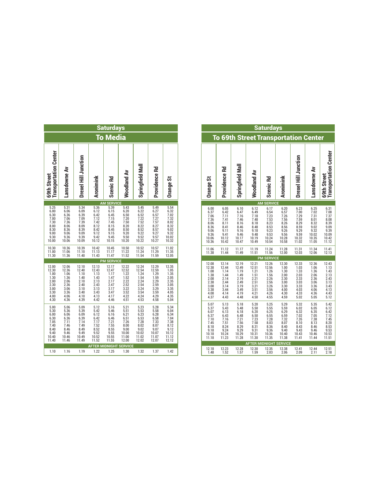| <b>Saturdays</b>                                                                         |                                                                                              |                                                                                                              |                                                                                      |                                                                                                         |                                                                                                               |                                                                                                               |                                                                                                               |                                                                                                              |  |  |  |  |  |  |
|------------------------------------------------------------------------------------------|----------------------------------------------------------------------------------------------|--------------------------------------------------------------------------------------------------------------|--------------------------------------------------------------------------------------|---------------------------------------------------------------------------------------------------------|---------------------------------------------------------------------------------------------------------------|---------------------------------------------------------------------------------------------------------------|---------------------------------------------------------------------------------------------------------------|--------------------------------------------------------------------------------------------------------------|--|--|--|--|--|--|
|                                                                                          | <b>Media</b><br>Īo                                                                           |                                                                                                              |                                                                                      |                                                                                                         |                                                                                                               |                                                                                                               |                                                                                                               |                                                                                                              |  |  |  |  |  |  |
| <b>Transportation Center</b><br><b>69th Street</b>                                       | Lansdowne Av                                                                                 | Drexel Hill Junction                                                                                         | Aronimink                                                                            | Scenic Rd                                                                                               | Woodland Av                                                                                                   | Springfield Mall                                                                                              | <b>Providence Rd</b>                                                                                          | <b>Drange St</b>                                                                                             |  |  |  |  |  |  |
| 5.25                                                                                     |                                                                                              |                                                                                                              | 5.36                                                                                 | <b>AM SERVICE</b><br>5.39                                                                               |                                                                                                               |                                                                                                               |                                                                                                               | 5.54                                                                                                         |  |  |  |  |  |  |
| 6.00<br>0.00<br>0.30<br>7.00<br>7.30<br>8.00<br>8.30<br>$9.00$<br>$9.30$<br>$10.00$      | $\frac{5.31}{6.06}$<br>6.36<br>7.06<br>7.36<br>8.06<br>8.36<br>9.36<br>9.36<br>10.06         | $\begin{array}{r} 5.34 \\ 6.09 \\ 6.39 \\ 7.09 \\ 7.39 \\ 8.09 \\ 8.39 \\ 9.09 \\ 9.39 \\ 10.09 \end{array}$ | 6.12<br>6.42<br>7.12<br>7.42<br>8.12<br>8.42<br>9.12<br>9.42<br>10.12                | 6.15<br>$6.45$<br>$7.15$<br>7.45<br>7.45<br>8.15<br>8.45<br>9.15<br>9.45<br>10.15                       | $\begin{array}{r} 5.43 \\ 6.20 \\ 6.50 \\ 7.20 \\ 7.50 \\ 8.20 \\ 8.50 \\ 9.20 \\ 9.50 \\ 10.20 \end{array}$  | 5.45<br>6.22<br>6.52<br>7.22<br>7.52<br>8.22<br>8.52<br>9.52<br>9.52<br>10.22                                 | 5.49<br>6.27<br>6.57<br>7.27<br>7.57<br>8.27<br>8.57<br>9.27<br>9.57<br>9.57                                  | $6.32$<br>$7.02$<br>$7.32$<br>8.02<br>8.02<br>8.32<br>9.02<br>9.32<br>10.02<br>10.32                         |  |  |  |  |  |  |
| 10.30<br>11.00<br>11.30                                                                  | 10.36<br>11.06<br>11.36                                                                      | 10.39<br>11.10<br>11.40                                                                                      | 10.42<br>11.13<br>11.43                                                              | 10.45<br>11.17<br>11.47                                                                                 | 10.50<br>11.22<br>11.52                                                                                       | 10.52<br>11.24<br>11.54                                                                                       | 10.57<br>11.29<br>11.59                                                                                       | 11.02<br>11.35<br>12.05                                                                                      |  |  |  |  |  |  |
|                                                                                          |                                                                                              |                                                                                                              |                                                                                      | <b>PM SERVICE</b>                                                                                       |                                                                                                               |                                                                                                               |                                                                                                               |                                                                                                              |  |  |  |  |  |  |
| 12.00<br>12.30<br>1.00<br>1.30<br>2.00<br>2.30<br>3.00<br>3.30<br>4.00<br>4.30           | 12.06<br>$\frac{12.36}{1.06}$<br>$\frac{1.36}{2.06}$<br>2.36<br>3.06<br>3.36<br>4.06<br>4.36 | 12.10<br>12.40<br>1.10<br>1.40<br>2.10<br>2.40<br>3.10<br>3.40<br>4.10<br>4.39                               | 12.13<br>12.43<br>1.13<br>1.43<br>2.13<br>2.43<br>3.13<br>3.43<br>4.13<br>4.42       | 12.17<br>12.47<br>$\overline{1}.17$<br>$1.47$<br>$2.17$<br>$2.47$<br>$3.17$<br>$3.47$<br>$4.17$<br>4.46 | $\begin{array}{r} 12.22 \\ 12.52 \\ 1.22 \\ 1.52 \\ 2.22 \\ 2.52 \\ 3.22 \\ 3.52 \\ 4.22 \\ 4.51 \end{array}$ | $\begin{array}{r} 12.24 \\ 12.54 \\ 1.24 \\ 1.54 \\ 2.24 \\ 2.54 \\ 3.24 \\ 3.54 \\ 4.24 \\ 4.53 \end{array}$ | $\begin{array}{r} 12.29 \\ 12.59 \\ 1.29 \\ 1.59 \\ 2.29 \\ 2.59 \\ 3.29 \\ 3.59 \\ 4.29 \\ 4.58 \end{array}$ | 12.35<br>$\begin{array}{c} 1.05 \\ 1.35 \\ 2.05 \\ 2.35 \\ 3.05 \\ 3.35 \\ 4.05 \\ 4.35 \end{array}$<br>5.04 |  |  |  |  |  |  |
| 5.00<br>5.30<br>5.30<br>6.00<br>6.30<br>7.05<br>7.40<br>8.40<br>$9.40$<br>10.40<br>11.40 | 5.06<br>5.36<br>6.06<br>6.36<br>7.11<br>7.46<br>8.46<br>$\frac{9.46}{10.46}$<br>11.46        | 5.09<br>5.39<br>6.09<br>6.39<br>7.14<br>7.14<br>8.49<br>$\frac{9.49}{10.49}$<br>11.49                        | 5.12<br>5.42<br>6.12<br>$6.42$<br>$7.17$<br>7.52<br>$8.52$<br>9.52<br>10.52<br>11.52 | 5.16<br>5.46<br>6.16<br>6.46<br>6.46<br>7.21<br>7.55<br>8.55<br>9.55<br>10.55<br>11.55<br>11.55         | 5.21<br>5.51<br>6.21<br>6.51<br>7.26<br>8.00<br>$\frac{9.00}{10.00}$<br>11.00<br>12.00                        | 5.23<br>5.53<br>6.23<br>6.53<br>7.28<br>8.02<br>$9.02$<br>10.02<br>11.02<br>12.02                             | $5.28$<br>$5.58$<br>$6.28$<br>6.58<br>6.58<br>7.33<br>8.07<br>9.07<br>9.07<br>10.07<br>11.07<br>12.07         | 5.34<br>6.04<br>6.34<br>7.04<br>7.38<br>8.12<br>$\frac{9.12}{10.12}$<br>11.12<br>12.12                       |  |  |  |  |  |  |
| 1.10                                                                                     | 1.16                                                                                         | 1.19                                                                                                         | 1.22                                                                                 | 1.25                                                                                                    | <b>AFTER MIDNIGHT SERVICE</b><br>1.30                                                                         | 1.32                                                                                                          | 1.37                                                                                                          | 1.42                                                                                                         |  |  |  |  |  |  |
|                                                                                          |                                                                                              |                                                                                                              |                                                                                      |                                                                                                         |                                                                                                               |                                                                                                               |                                                                                                               |                                                                                                              |  |  |  |  |  |  |

|                                                                                                       | <b>Saturdays</b>                                                               |                                                                                                   |                                                                                    |                                                                                               |                                                                                     |                                                                                |                                                                                       |                                                                                       |                                                                                                                   | <b>Saturdays</b>                                                                                                  |                                                                                              |                                                                                                                         |                                                                                     |                                                                                                                     |
|-------------------------------------------------------------------------------------------------------|--------------------------------------------------------------------------------|---------------------------------------------------------------------------------------------------|------------------------------------------------------------------------------------|-----------------------------------------------------------------------------------------------|-------------------------------------------------------------------------------------|--------------------------------------------------------------------------------|---------------------------------------------------------------------------------------|---------------------------------------------------------------------------------------|-------------------------------------------------------------------------------------------------------------------|-------------------------------------------------------------------------------------------------------------------|----------------------------------------------------------------------------------------------|-------------------------------------------------------------------------------------------------------------------------|-------------------------------------------------------------------------------------|---------------------------------------------------------------------------------------------------------------------|
|                                                                                                       | <b>To Media</b>                                                                |                                                                                                   |                                                                                    |                                                                                               |                                                                                     |                                                                                |                                                                                       |                                                                                       |                                                                                                                   |                                                                                                                   | <b>To 69th Street Transportation Center</b>                                                  |                                                                                                                         |                                                                                     |                                                                                                                     |
| <b>Aronimink</b>                                                                                      | Scenic Rd                                                                      | <b>Woodland Av</b>                                                                                | Springfield Mall                                                                   | Providence Rd                                                                                 | Orange St                                                                           | <b>Drange St</b>                                                               | Providence Rd                                                                         | Springfield Mall                                                                      | Woodland Av                                                                                                       | Scenic Rd                                                                                                         | Aronimink                                                                                    | Drexel Hill Junction                                                                                                    | Lansdowne Av                                                                        | 69th Street<br>Transportation Center                                                                                |
| 5.36                                                                                                  | <b>AM SERVICE</b><br>5.39                                                      | 5.43                                                                                              |                                                                                    | 5.49                                                                                          | 5.54                                                                                |                                                                                |                                                                                       |                                                                                       |                                                                                                                   | <b>AM SERVICE</b>                                                                                                 |                                                                                              |                                                                                                                         |                                                                                     |                                                                                                                     |
| 6.12<br>6.42<br>7.12<br>7.42<br>8.12<br>8.42<br>9.12<br>9.42<br>10.12                                 | 6.15<br>6.45<br>7.15<br>7.45<br>8.15<br>8.45<br>9.15<br>9.45<br>10.15          | $6.20$<br>$6.50$<br>$7.20$<br>$7.50$<br>8.20<br>8.50<br>$\frac{9.20}{9.50}$<br>10.20              | 5.45<br>6.22<br>6.52<br>7.22<br>7.52<br>8.22<br>8.52<br>9.22<br>9.52<br>10.22      | 6.27<br>6.57<br>7.27<br>7.57<br>8.27<br>8.57<br>$9.27$<br>9.57<br>10.27                       | 6.32<br>7.02<br>7.32<br>8.02<br>8.32<br>9.02<br>9.32<br>10.02<br>10.32              | 6.00<br>6.37<br>7.06<br>7.36<br>8.06<br>8.36<br>9.06<br>9.36<br>10.06<br>10.36 | $6.05$<br>$6.42$<br>7.11<br>7.41<br>8.11<br>8.41<br>9.11<br>9.41<br>10.12<br>10.42    | 6.10<br>6.47<br>7.16<br>7.46<br>8.16<br>8.46<br>9.16<br>9.46<br>10.17<br>10.47        | 6.12<br>6.49<br>7.18<br>7.48<br>8.18<br>8.48<br>9.18<br>9.48<br>10.19<br>10.49                                    | 6.17<br>$6.54$<br>$7.23$<br>7.53<br>8.23<br>8.53<br>9.23<br>9.53<br>10.24<br>10.54                                | 6.20<br>6.57<br>7.26<br>7.56<br>$8.26$<br>$8.56$<br>9.26<br>9.56<br>10.28                    | $6.23$<br>$7.00$<br>7.29<br>$7.59$<br>8.29<br>8.59<br>9.29<br>9.59<br>10.32<br>11.02                                    | $6.25$<br>$7.02$<br>7.31<br>8.01<br>8.32<br>9.02<br>9.32<br>10.02<br>10.35<br>11.05 | 6.31<br>7.08<br>7.37<br>8.08<br>8.39<br>9.09<br>9.39<br>10.09<br>10.42<br>11.12                                     |
| $\begin{array}{c} 10.42 \\ 11.13 \\ 11.43 \end{array}$                                                | 10.45<br>11.17<br>11.47                                                        | $\begin{array}{c} 10.50 \\ 11.22 \\ 11.52 \end{array}$                                            | 10.52<br>11.24<br>11.54                                                            | 10.57<br>$\frac{10.37}{11.29}$                                                                | 11.02<br>11.35<br>12.05                                                             | 11.06<br>11.38                                                                 | 11.12<br>11.44                                                                        | 11.17<br>11.49                                                                        | 11.19<br>11.51                                                                                                    | 11.24<br>11.56                                                                                                    | 11.28<br>12.00                                                                               | 11.31<br>12.03                                                                                                          | 11.34<br>12.06                                                                      | 11.41<br>12.13                                                                                                      |
|                                                                                                       | <b>PM SERVICE</b>                                                              |                                                                                                   |                                                                                    |                                                                                               |                                                                                     |                                                                                |                                                                                       |                                                                                       |                                                                                                                   | <b>PM SERVICE</b>                                                                                                 |                                                                                              |                                                                                                                         |                                                                                     |                                                                                                                     |
| 12.13<br>12.43<br>$\frac{1}{1.13}$<br>$\frac{1.43}{2.13}$<br>2.43<br>3.13<br>3.43<br>$4.13$<br>$4.42$ | 12.17<br>12.47<br>1.17<br>1.47<br>2.17<br>2.47<br>3.17<br>3.47<br>4.17<br>4.46 | 12.22<br>12.52<br>$\frac{1.22}{1.52}$<br>$2.22$<br>$2.52$<br>$3.22$<br>$3.52$<br>$4.22$<br>$4.51$ | 12.24<br>12.54<br>1.24<br>1.54<br>2.24<br>2.54<br>3.24<br>3.54<br>$4.24$<br>$4.53$ | 12.29<br>12.59<br>1.29<br>$\frac{1.59}{2.29}$<br>2.59<br>3.29<br>3.29<br>3.59<br>4.29<br>4.58 | 12.35<br>1.05<br>1.35<br>2.05<br>2.35<br>3.05<br>3.35<br>4.05<br>4.35<br>5.04       | 12.08<br>12.38<br>1.08<br>1.38<br>2.08<br>2.38<br>3.08<br>3.38<br>4.08<br>4.37 | 12.14<br>12.44<br>1.14<br>1.44<br>2.14<br>2.44<br>3.14<br>3.44<br>4.14<br>4.43        | 12.19<br>12.49<br>1.19<br>1.49<br>2.19<br>2.49<br>3.19<br>3.49<br>4.19<br>4.48        | $\frac{12.21}{12.51}$<br>1.21<br>1.51<br>2.21<br>2.51<br>$\frac{3.21}{3.51}$<br>$4.21$<br>$4.50$                  | 12.26<br>12.56<br>1.26<br>1.56<br>2.26<br>2.56<br>$\frac{3.26}{3.56}$<br>4.26<br>4.55                             | 12.30<br>1.00<br>$\frac{1.30}{2.00}$<br>2.30<br>3.00<br>3.00<br>3.30<br>4.00<br>4.30<br>4.59 | $\begin{array}{c} 12.33 \\ 1.03 \\ 1.33 \\ 2.03 \end{array}$<br>2.33<br>$\frac{3.03}{3.33}$<br>4.03<br>$4.33$<br>$5.02$ | 12.36<br>1.06<br>1.36<br>2.06<br>2.36<br>3.06<br>3.36<br>4.06<br>4.36<br>5.05       | $\begin{array}{c} 12.43 \\ 1.13 \\ 1.43 \\ 2.13 \end{array}$<br>2.43<br>3.13<br>$\frac{3.43}{4.13}$<br>4.43<br>5.12 |
| 5.12<br>5.42<br>6.12<br>6.42<br>7.17<br>$7.52$<br>8.52<br>$\frac{9.52}{10.52}$<br>11.52               | 5.16<br>5.46<br>6.16<br>6.46<br>7.21<br>7.55<br>8.55<br>9.55<br>10.55<br>11.55 | 5.21<br>5.51<br>$6.21$<br>$6.51$<br>7.26<br>8.00<br>9.00<br>10.00<br>11.00<br>12.00               | 5.23<br>5.53<br>6.23<br>6.53<br>7.28<br>8.02<br>9.02<br>10.02<br>11.02<br>12.02    | 5.28<br>5.58<br>6.28<br>6.58<br>7.33<br>8.07<br>$9.07$<br>10.07<br>11.07                      | 5.34<br>6.04<br>$6.34$<br>$7.04$<br>7.38<br>8.12<br>9.12<br>10.12<br>11.12<br>12.12 | 5.07<br>5.37<br>6.07<br>6.37<br>7.10<br>7.45<br>8.18<br>9.18<br>10.18<br>11.18 | $\frac{5.13}{5.43}$<br>6.13<br>6.43<br>7.16<br>7.51<br>8.24<br>9.24<br>10.24<br>11.23 | $\frac{5.18}{5.48}$<br>6.18<br>6.48<br>7.21<br>7.56<br>8.29<br>9.29<br>10.29<br>11.28 | $\begin{array}{c} 5.20 \\ 5.50 \end{array}$<br>$6.20$<br>$6.50$<br>7.23<br>7.58<br>8.31<br>9.31<br>10.31<br>11.30 | $\begin{array}{c} 5.25 \\ 5.55 \end{array}$<br>6.25<br>6.55<br>$7.28$<br>$8.03$<br>8.36<br>9.36<br>10.36<br>11.35 | 5.29<br>5.59<br>$6.29$<br>$6.59$<br>$7.32$<br>$8.07$<br>8.40<br>9.40<br>10.40                | 5.32<br>6.02<br>6.32<br>7.02<br>$7.35$<br>$8.10$<br>8.43<br>9.43<br>10.43<br>11.41                                      | 5.35<br>6.05<br>6.35<br>7.05<br>7.38<br>8.13<br>8.46<br>9.46<br>10.46<br>11.44      | 5.42<br>6.12<br>6.42<br>7.12<br>7.45<br>8.20<br>8.53<br>9.53<br>10.53<br>11.51                                      |
| <b>AFTER MIDNIGHT SERVICE</b>                                                                         |                                                                                |                                                                                                   |                                                                                    |                                                                                               |                                                                                     | 12.18                                                                          |                                                                                       |                                                                                       |                                                                                                                   | 12.35                                                                                                             | <b>AFTER MIDNIGHT SERVICE</b><br>12.38                                                       | 12.41                                                                                                                   |                                                                                     | 12.51                                                                                                               |
| 1.22                                                                                                  | 1.25                                                                           | 1.30                                                                                              | 1.32                                                                               | 1.37                                                                                          | 1.42                                                                                | 1.48                                                                           | $\frac{12.23}{1.52}$                                                                  | $\frac{12.28}{1.57}$                                                                  | 12.30<br>1.59                                                                                                     | 2.03                                                                                                              | 2.06                                                                                         | 2.09                                                                                                                    | $\frac{12.44}{2.11}$                                                                | 2.18                                                                                                                |

| <b>Providence Rd</b>                                                          | ö<br>Orange:                                                                   | ö<br>Orange                                                                    | <b>Providence Rd</b>                                                           | Springfield Mall                                                               | Woodland Av                                                                                         |
|-------------------------------------------------------------------------------|--------------------------------------------------------------------------------|--------------------------------------------------------------------------------|--------------------------------------------------------------------------------|--------------------------------------------------------------------------------|-----------------------------------------------------------------------------------------------------|
|                                                                               |                                                                                |                                                                                |                                                                                |                                                                                |                                                                                                     |
| 5.49<br>6.27<br>6.57<br>7.27<br>7.57<br>8.27<br>8.57<br>9.27<br>9.57<br>10.27 | 5.54<br>6.32<br>7.02<br>7.32<br>8.02<br>8.32<br>9.02<br>9.32<br>10.02<br>10.32 | 6.00<br>6.37<br>7.06<br>7.36<br>8.06<br>8.36<br>9.06<br>9.36<br>10.06<br>10.36 | 6.05<br>6.42<br>7.11<br>7.41<br>8.11<br>8.41<br>9.11<br>9.41<br>10.12<br>10.42 | 6.10<br>6.47<br>7.16<br>7.46<br>8.16<br>8.46<br>9.16<br>9.46<br>10.17<br>10.47 | 6.1<br>$\begin{array}{c} 6.4 \\ 7.1 \\ 7.4 \\ 8.1 \\ 8.4 \\ 9.1 \\ 9.4 \\ 10.1 \end{array}$<br>10.4 |
| 10.57<br>11.29<br>11.59                                                       | 11.02<br>11.35<br>12.05                                                        | 11.06<br>11.38                                                                 | 11.12<br>11.44                                                                 | 11.17<br>11.49                                                                 | 11.1<br>11.5                                                                                        |
|                                                                               |                                                                                | 12 U.S                                                                         | 1211                                                                           | 1210                                                                           | 12 <sub>1</sub>                                                                                     |